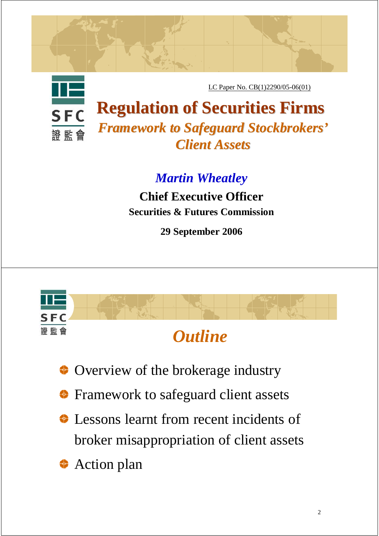

LC Paper No. CB(1)2290/05-06(01)

**Regulation of Securities Firms Regulation of Securities Firms** *Framework to Safeguard Stockbrokers Framework to Safeguard Stockbrokers' Client Assets Client Assets*

*Martin Wheatley*

**Chief Executive Officer Securities & Futures Commission**

**29 September 2006**



- Overview of the brokerage industry
- Framework to safeguard client assets ♦
- Lessons learnt from recent incidents of broker misappropriation of client assets
- Action plan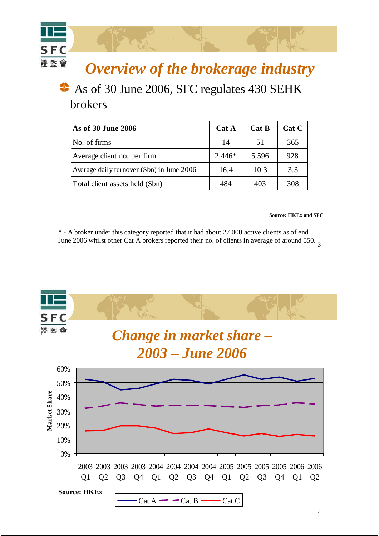## *Overview of the brokerage industry*

#### ♦ As of 30 June 2006, SFC regulates 430 SEHK brokers

**SFC** 證監會

| As of 30 June 2006                         | Cat A    | Cat B | Cat C |
|--------------------------------------------|----------|-------|-------|
| No. of firms                               | 14       | 51    | 365   |
| Average client no. per firm                | $2,446*$ | 5,596 | 928   |
| Average daily turnover (\$bn) in June 2006 | 16.4     | 10.3  | 3.3   |
| Total client assets held (\$bn)            | 484      | 403   | 308   |

#### **Source: HKEx and SFC**

June 2006 whilst other Cat A brokers reported their no. of clients in average of around 550.  $\frac{3}{3}$ \* - A broker under this category reported that it had about 27,000 active clients as of end

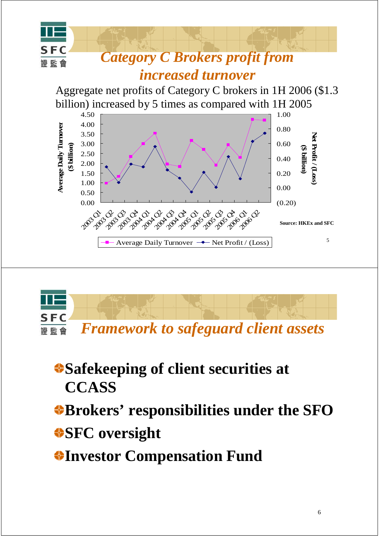



**Safekeeping of client securities at CCASS**

**Brokers' responsibilities under the SFO**

**SFC oversight**

**Investor Compensation Fund**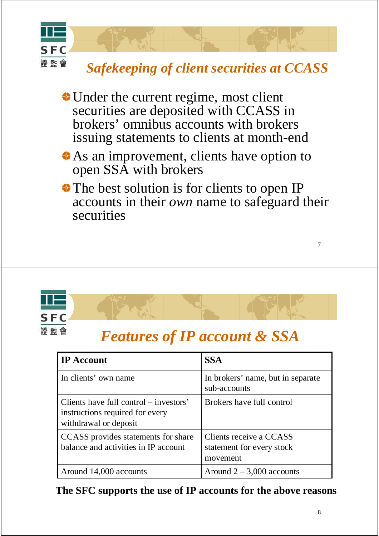

- Under the current regime, most client securities are deposited with CCASS in brokers' omnibus accounts with brokers issuing statements to clients at month-end
- As an improvement, clients have option to open SSA with brokers
- The best solution is for clients to open IP accounts in their *own* name to safeguard their securities



| <b>IP Account</b>                                                                                  | <b>SSA</b>                                                       |
|----------------------------------------------------------------------------------------------------|------------------------------------------------------------------|
| In clients' own name                                                                               | In brokers' name, but in separate<br>sub-accounts                |
| Clients have full control – investors'<br>instructions required for every<br>withdrawal or deposit | Brokers have full control                                        |
| CCASS provides statements for share<br>balance and activities in IP account                        | Clients receive a CCASS<br>statement for every stock<br>movement |
| Around 14,000 accounts                                                                             | Around $2 - 3,000$ accounts                                      |

**The SFC supports the use of IP accounts for the above reasons**

7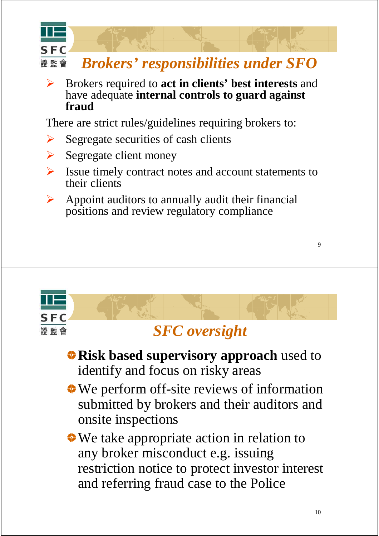

! Brokers required to **act in clients' best interests** and have adequate **internal controls to guard against fraud** 

There are strict rules/guidelines requiring brokers to:

- $\triangleright$  Segregate securities of cash clients
- $\triangleright$  Segregate client money
- ! Issue timely contract notes and account statements to their clients
- $\triangleright$  Appoint auditors to annually audit their financial positions and review regulatory compliance



### **Risk based supervisory approach** used to identify and focus on risky areas

- We perform off-site reviews of information submitted by brokers and their auditors and onsite inspections
- We take appropriate action in relation to any broker misconduct e.g. issuing restriction notice to protect investor interest and referring fraud case to the Police

9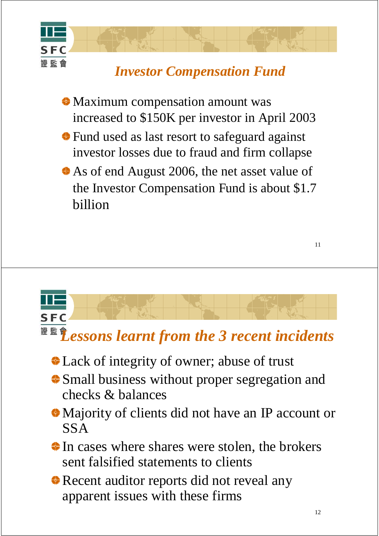

## *Investor Compensation Fund*

Maximum compensation amount was increased to \$150K per investor in April 2003

- Fund used as last resort to safeguard against investor losses due to fraud and firm collapse
- As of end August 2006, the net asset value of the Investor Compensation Fund is about \$1.7 billion

# **SFC** <sup>證 監</sup> <sup>金</sup> Lessons learnt from the 3 recent incidents

- Lack of integrity of owner; abuse of trust
- Small business without proper segregation and checks & balances
- Majority of clients did not have an IP account or SSA
- In cases where shares were stolen, the brokers sent falsified statements to clients
- Recent auditor reports did not reveal any apparent issues with these firms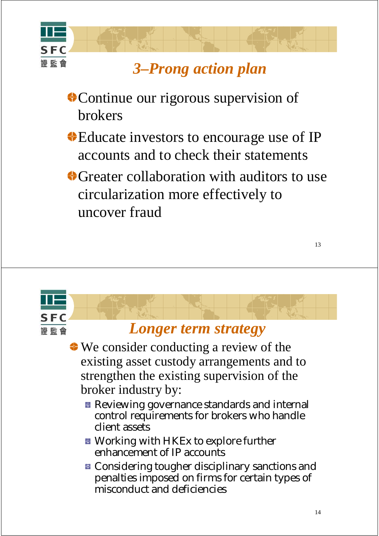

# *3–Prong action plan*

- Continue our rigorous supervision of brokers
- Educate investors to encourage use of IP accounts and to check their statements
- Greater collaboration with auditors to use circularization more effectively to uncover fraud

#### *Longer term strategy*

SF<sub>I</sub>

證 監 會

- ◆ We consider conducting a review of the existing asset custody arrangements and to strengthen the existing supervision of the broker industry by:
	- **Reviewing governance standards and internal** control requirements for brokers who handle client assets
	- **E** Working with HKEx to explore further enhancement of IP accounts
	- **E** Considering tougher disciplinary sanctions and penalties imposed on firms for certain types of misconduct and deficiencies